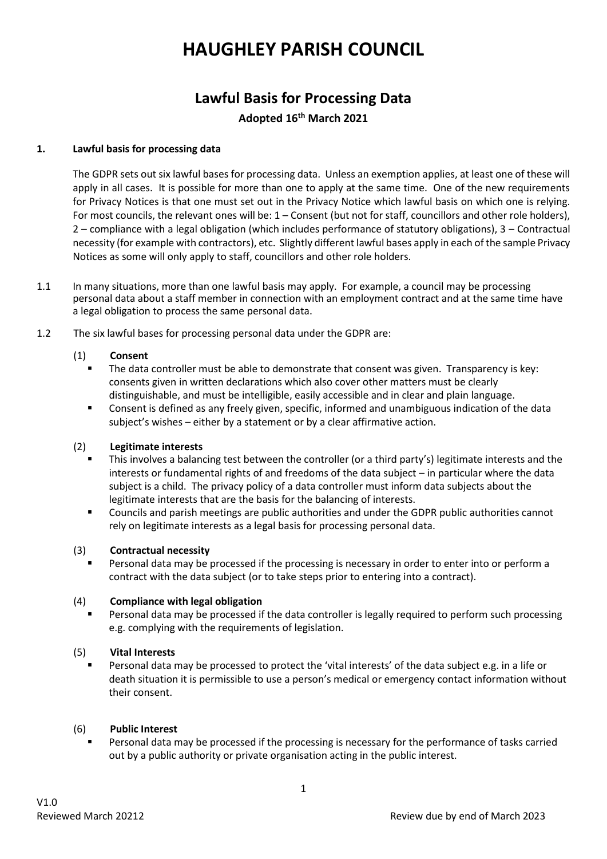# **HAUGHLEY PARISH COUNCIL**

# **Lawful Basis for Processing Data Adopted 16th March 2021**

## **1. Lawful basis for processing data**

The GDPR sets out six lawful bases for processing data. Unless an exemption applies, at least one of these will apply in all cases. It is possible for more than one to apply at the same time. One of the new requirements for Privacy Notices is that one must set out in the Privacy Notice which lawful basis on which one is relying. For most councils, the relevant ones will be: 1 – Consent (but not for staff, councillors and other role holders), 2 – compliance with a legal obligation (which includes performance of statutory obligations), 3 – Contractual necessity (for example with contractors), etc. Slightly different lawful bases apply in each of the sample Privacy Notices as some will only apply to staff, councillors and other role holders.

- 1.1 In many situations, more than one lawful basis may apply. For example, a council may be processing personal data about a staff member in connection with an employment contract and at the same time have a legal obligation to process the same personal data.
- 1.2 The six lawful bases for processing personal data under the GDPR are:

# (1) **Consent**

- The data controller must be able to demonstrate that consent was given. Transparency is key: consents given in written declarations which also cover other matters must be clearly distinguishable, and must be intelligible, easily accessible and in clear and plain language.
- Consent is defined as any freely given, specific, informed and unambiguous indication of the data subject's wishes – either by a statement or by a clear affirmative action.

## (2) **Legitimate interests**

- This involves a balancing test between the controller (or a third party's) legitimate interests and the interests or fundamental rights of and freedoms of the data subject – in particular where the data subject is a child. The privacy policy of a data controller must inform data subjects about the legitimate interests that are the basis for the balancing of interests.
- Councils and parish meetings are public authorities and under the GDPR public authorities cannot rely on legitimate interests as a legal basis for processing personal data.

## (3) **Contractual necessity**

Personal data may be processed if the processing is necessary in order to enter into or perform a contract with the data subject (or to take steps prior to entering into a contract).

## (4) **Compliance with legal obligation**

Personal data may be processed if the data controller is legally required to perform such processing e.g. complying with the requirements of legislation.

## (5) **Vital Interests**

Personal data may be processed to protect the 'vital interests' of the data subject e.g. in a life or death situation it is permissible to use a person's medical or emergency contact information without their consent.

## (6) **Public Interest**

Personal data may be processed if the processing is necessary for the performance of tasks carried out by a public authority or private organisation acting in the public interest.